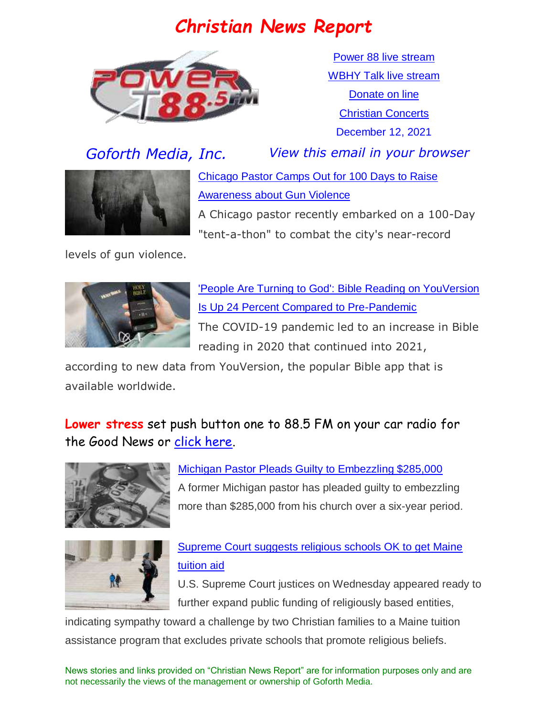## *Christian News Report*



[Power 88 live stream](https://us7.maindigitalstream.com/2920/index.php) [WBHY Talk live stream](http://148.72.155.47:8573/Ahxed5k) [Donate on line](https://forms.ministryforms.net/viewForm.aspx?formId=018b4ff7-2c2f-4f0e-8ef2-689f9601b826) [Christian Concerts](https://www.goforth.org/Concerts) December 12, 2021





[Chicago Pastor Camps Out for 100 Days to Raise](https://www.christianheadlines.com/contributors/milton-quintanilla/chicago-pastor-camps-out-for-100-days-to-raise-awareness-about-gun-violence.html)  [Awareness about Gun Violence](https://www.christianheadlines.com/contributors/milton-quintanilla/chicago-pastor-camps-out-for-100-days-to-raise-awareness-about-gun-violence.html)

A Chicago pastor recently embarked on a 100-Day "tent-a-thon" to combat the city's near-record

levels of gun violence.



['People Are Turning to God': Bible Reading on YouVersion](https://www.christianheadlines.com/contributors/michael-foust/people-are-turning-to-god-bible-reading-on-youversion-is-up-24-percent-compared-to-pre-pandemic.html)  [Is Up 24 Percent Compared to Pre-Pandemic](https://www.christianheadlines.com/contributors/michael-foust/people-are-turning-to-god-bible-reading-on-youversion-is-up-24-percent-compared-to-pre-pandemic.html) The COVID-19 pandemic led to an increase in Bible reading in 2020 that continued into 2021,

according to new data from YouVersion, the popular Bible app that is available worldwide.

**Lower stress** set push button one to 88.5 FM on your car radio for the Good News or [click here.](https://us7.maindigitalstream.com/2920/)



#### [Michigan Pastor Pleads Guilty to Embezzling \\$285,000](https://ministrywatch.com/michigan-pastor-pleads-guilty-to-embezzling-285000/)

A former Michigan pastor has pleaded guilty to embezzling more than \$285,000 from his church over a six-year period.



#### [Supreme Court suggests religious schools OK to get Maine](https://www.srnnews.com/u-s-supreme-court-conservatives-lean-toward-more-public-dollars-for-religious-schools-2/)  [tuition aid](https://www.srnnews.com/u-s-supreme-court-conservatives-lean-toward-more-public-dollars-for-religious-schools-2/)

U.S. Supreme Court justices on Wednesday appeared ready to further expand public funding of religiously based entities,

indicating sympathy toward a challenge by two Christian families to a Maine tuition assistance program that excludes private schools that promote religious beliefs.

News stories and links provided on "Christian News Report" are for information purposes only and are not necessarily the views of the management or ownership of Goforth Media.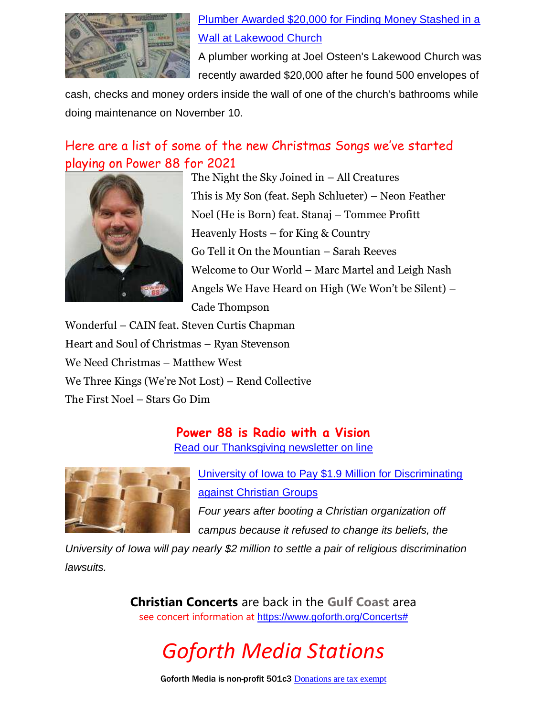

#### [Plumber Awarded \\$20,000 for Finding Money Stashed in a](https://www.christianheadlines.com/contributors/milton-quintanilla/plumber-awarded-20000-for-finding-money-stashed-in-wall-at-joel-osteens-lakewood-church.html)  [Wall at Lakewood Church](https://www.christianheadlines.com/contributors/milton-quintanilla/plumber-awarded-20000-for-finding-money-stashed-in-wall-at-joel-osteens-lakewood-church.html)

A plumber working at Joel Osteen's Lakewood Church was recently awarded \$20,000 after he found 500 envelopes of

cash, checks and money orders inside the wall of one of the church's bathrooms while doing maintenance on November 10.

#### Here are a list of some of the new Christmas Songs we've started playing on Power 88 for 2021



The Night the Sky Joined in – All Creatures This is My Son (feat. Seph Schlueter) – Neon Feather Noel (He is Born) feat. Stanaj – Tommee Profitt Heavenly Hosts – for King & Country Go Tell it On the Mountian – Sarah Reeves Welcome to Our World – Marc Martel and Leigh Nash Angels We Have Heard on High (We Won't be Silent) – Cade Thompson

Wonderful – CAIN feat. Steven Curtis Chapman Heart and Soul of Christmas – Ryan Stevenson We Need Christmas – Matthew West We Three Kings (We're Not Lost) – Rend Collective The First Noel – Stars Go Dim

**Power 88 is Radio with a Vision**

[Read our Thanksgiving newsletter on line](https://content.myconnectsuite.com/api/documents/333e5478c1774a61b056615801032bb4.pdf)



[University of Iowa to Pay \\$1.9 Million for Discriminating](https://www.christianheadlines.com/contributors/michael-foust/university-of-iowa-to-pay-19-million-for-discriminating-against-christian-groups.html)  [against Christian Groups](https://www.christianheadlines.com/contributors/michael-foust/university-of-iowa-to-pay-19-million-for-discriminating-against-christian-groups.html)

*Four years after booting a Christian organization off campus because it refused to change its beliefs, the* 

*University of Iowa will pay nearly \$2 million to settle a pair of religious discrimination lawsuits.*

> **Christian Concerts** are back in the **Gulf Coast** area see concert information at [https://www.goforth.org/Concerts#](https://www.goforth.org/Concerts)



Goforth Media is non-profit 501c3 [Donations are tax exempt](https://forms.ministryforms.net/viewForm.aspx?formId=018b4ff7-2c2f-4f0e-8ef2-689f9601b826)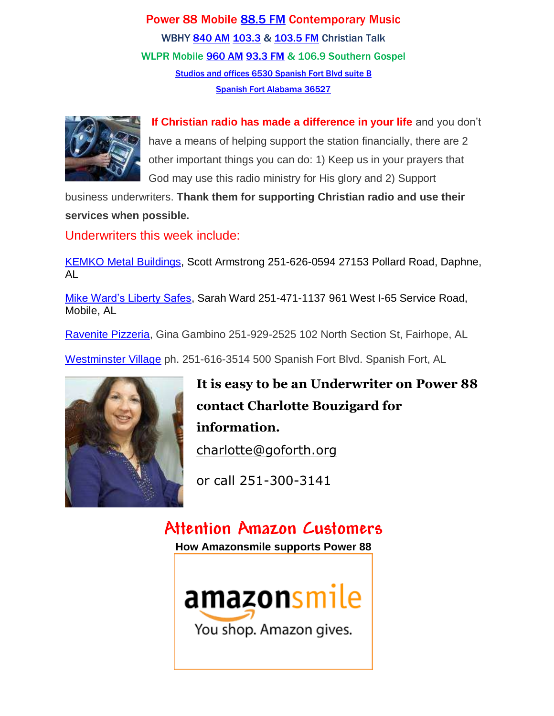Power 88 Mobile [88.5 FM](https://radio-locator.com/cgi-bin/pat?call=WBHY&service=FM) Contemporary Music WBHY [840 AM](https://radio-locator.com/cgi-bin/pat?call=WBHY&service=AM&h=D) [103.3](https://radio-locator.com/cgi-bin/pat?call=WBHY&service=FM) & [103.5 FM](https://radio-locator.com/cgi-bin/pat?call=WBHY&service=AM&h=D) Christian Talk WLPR Mobile [960 AM](https://radio-locator.com/cgi-bin/pat?call=WLPR&service=AM&h=D) [93.3 FM](https://radio-locator.com/cgi-bin/pat?call=W227DA&service=FX) & 106.9 Southern Gospel [Studios and offices 6530 Spanish Fort Blvd suite B](https://www.google.com/maps/place/Power+88+Radio/@30.667541,-87.9124627,17z/data=!3m1!4b1!4m5!3m4!1s0x889a43144093f9bd:0x8d064181e7261e9!8m2!3d30.667541!4d-87.910274) [Spanish Fort Alabama 36527](https://www.google.com/maps/place/Power+88+Radio/@30.667541,-87.9124627,17z/data=!3m1!4b1!4m5!3m4!1s0x889a43144093f9bd:0x8d064181e7261e9!8m2!3d30.667541!4d-87.910274)



**If Christian radio has made a difference in your life** and you don't have a means of helping support the station financially, there are 2 other important things you can do: 1) Keep us in your prayers that God may use this radio ministry for His glory and 2) Support

business underwriters. **Thank them for supporting Christian radio and use their services when possible.**

Underwriters this week include:

[KEMKO Metal Buildings,](http://www.kemkobuildings.com/) Scott Armstrong 251-626-0594 27153 Pollard Road, Daphne, AL

[Mike Ward's Liberty Safes,](http://www.mwliberty.com/) Sarah Ward 251-471-1137 961 West I-65 Service Road, Mobile, AL

[Ravenite Pizzeria,](http://www.theravenite.net/) Gina Gambino 251-929-2525 102 North Section St, Fairhope, AL

[Westminster Village](http://www.retirewestminster.com/) ph. 251-616-3514 500 Spanish Fort Blvd. Spanish Fort, AL



**It is easy to be an Underwriter on Power 88 contact Charlotte Bouzigard for information.** [charlotte@goforth.org](mailto:charlotte@goforth.org)

or call 251-300-3141

# **Attention Amazon Customers**

**How Amazonsmile supports Power 88**

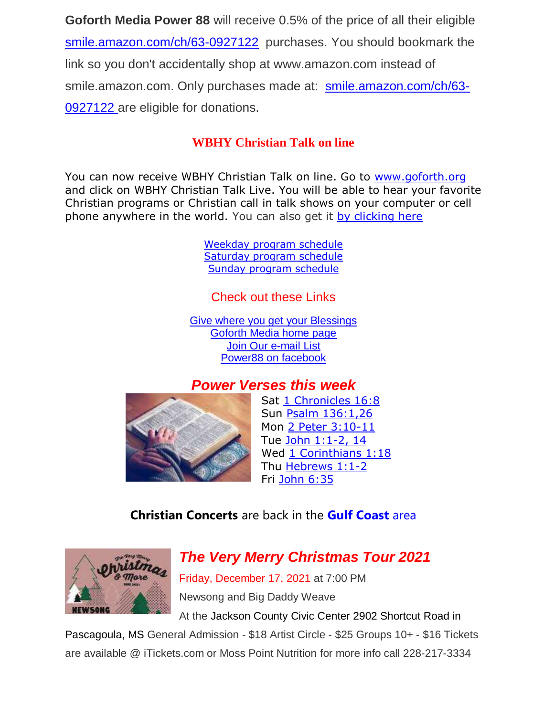**Goforth Media Power 88** will receive 0.5% of the price of all their eligible [smile.amazon.com/ch/63-0927122](https://www.amazon.com/gp/r.html?C=2AU9G2CMQ9IQM&R=1QK2JMJNP3GH7&T=C&U=http%3A%2F%2Fsmile.amazon.com%2Fch%2F63-0927122&A=BCZPEIHVLV99IVSUOLG1YPFXTGWA&H=XVLELAMUAST3PRIK4CW2E8JRKTCA) purchases. You should bookmark the link so you don't accidentally shop at www.amazon.com instead of smile.amazon.com. Only purchases made at: [smile.amazon.com/ch/63-](https://www.amazon.com/gp/r.html?C=2AU9G2CMQ9IQM&R=1QK2JMJNP3GH7&T=C&U=http%3A%2F%2Fsmile.amazon.com%2Fch%2F63-0927122&A=BCZPEIHVLV99IVSUOLG1YPFXTGWA&H=XVLELAMUAST3PRIK4CW2E8JRKTCA) [0927122](https://www.amazon.com/gp/r.html?C=2AU9G2CMQ9IQM&R=1QK2JMJNP3GH7&T=C&U=http%3A%2F%2Fsmile.amazon.com%2Fch%2F63-0927122&A=BCZPEIHVLV99IVSUOLG1YPFXTGWA&H=XVLELAMUAST3PRIK4CW2E8JRKTCA) are eligible for donations.

#### **WBHY Christian Talk on line**

You can now receive WBHY Christian Talk on line. Go to [www.goforth.org](http://www.goforth.org/) and click on WBHY Christian Talk Live. You will be able to hear your favorite Christian programs or Christian call in talk shows on your computer or cell phone anywhere in the world. You can also get it [by clicking here](http://148.72.155.47:8573/Ahxed5k)

> [Weekday program schedule](https://goforth.schoolinsites.com/dailyprogramschedule) [Saturday program schedule](https://goforth.schoolinsites.com/saturdayprogramschedule) [Sunday program schedule](https://goforth.schoolinsites.com/sundayprogramschedule)

Check out these Links

[Give where you get your Blessings](https://forms.ministryforms.net/viewForm.aspx?formId=018b4ff7-2c2f-4f0e-8ef2-689f9601b826) [Goforth Media home page](http://www.goforth.org/) [Join Our e-mail List](http://user.goforth.org/mail-form/mail_form.htm) [Power88 on facebook](http://www.facebook.com/Power88fm)

#### *Power Verses this week*



Sat [1 Chronicles 16:8](https://www.biblegateway.com/passage/?search=1%20Chronicles%2016:8&version=niv) Sun [Psalm 136:1,26](https://www.biblegateway.com/passage/?search=Psalm%20136:1%2C26&version=niv) Mon 2 Peter [3:10-11](https://www.biblegateway.com/passage/?search=2%20Peter%203:10-11&version=niv) Tue [John 1:1-2, 14](https://www.biblegateway.com/passage/?search=John%201:1-2%2C%2014&version=niv) Wed [1 Corinthians 1:18](https://www.biblegateway.com/passage/?search=1%20Corinthians%201:18&version=niv&cm_mmc=ExactTarget-_-VOTDBGNLT-_-wilbur@goforth.org-_-reference-verse) Thu [Hebrews 1:1-2](https://www.biblegateway.com/passage/?search=Hebrews%201:1-2&version=niv) Fri [John 6:35](https://www.biblegateway.com/passage/?search=John%206:35&version=niv)

#### **Christian Concerts** are back in the **[Gulf Coast](Christian%20Concerts%20are%20back%20in%20the%20Gulf%20Coast%20area)** area



### *The Very Merry Christmas Tour 2021*

Friday, December 17, 2021 at 7:00 PM Newsong and Big Daddy Weave

At the Jackson County Civic Center 2902 Shortcut Road in Pascagoula, MS General Admission - \$18 Artist Circle - \$25 Groups 10+ - \$16 Tickets

are available @ iTickets.com or Moss Point Nutrition for more info call 228-217-3334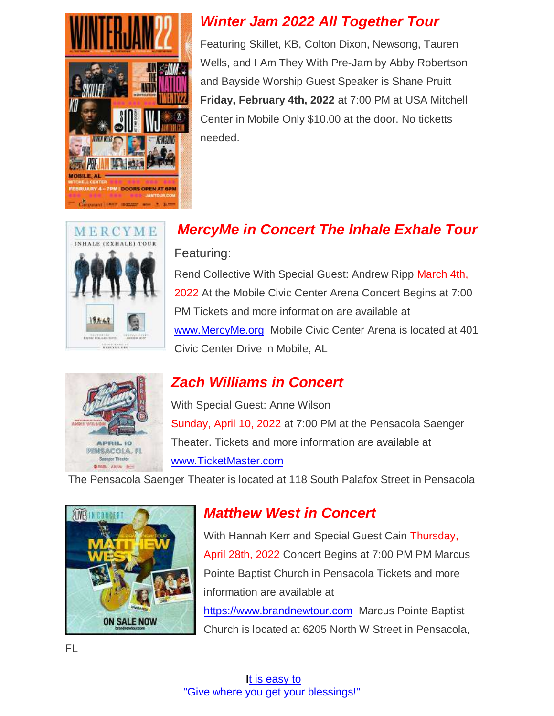

#### *Winter Jam 2022 All Together Tour*

Featuring Skillet, KB, Colton Dixon, Newsong, Tauren Wells, and I Am They With Pre-Jam by Abby Robertson and Bayside Worship Guest Speaker is Shane Pruitt **Friday, February 4th, 2022** at 7:00 PM at USA Mitchell Center in Mobile Only \$10.00 at the door. No ticketts needed.

# MERCYME **INHALE (EXHALE) TOUR AVER OILEETING DESCRIPTION** MERCYNE HEY

# *MercyMe in Concert The Inhale Exhale Tour*

#### Featuring:

Rend Collective With Special Guest: Andrew Ripp March 4th, 2022 At the Mobile Civic Center Arena Concert Begins at 7:00 PM Tickets and more information are available at [www.MercyMe.org](http://www.mercyme.org/) Mobile Civic Center Arena is located at 401 Civic Center Drive in Mobile, AL



### *Zach Williams in Concert*

With Special Guest: Anne Wilson Sunday, April 10, 2022 at 7:00 PM at the Pensacola Saenger Theater. Tickets and more information are available at [www.TicketMaster.com](http://www.ticketmaster.com/)

The Pensacola Saenger Theater is located at 118 South Palafox Street in Pensacola



### *Matthew West in Concert*

With Hannah Kerr and Special Guest Cain Thursday, April 28th, 2022 Concert Begins at 7:00 PM PM Marcus Pointe Baptist Church in Pensacola Tickets and more information are available at

[https://www.brandnewtour.com](https://www.brandnewtour.com/) Marcus Pointe Baptist Church is located at 6205 North W Street in Pensacola,